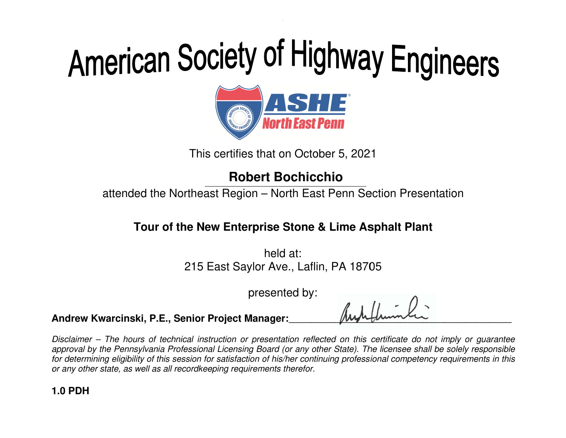# American Society of Highway Engineers<br> **ORIGE:**<br>
This certifies that on October 5, 2021<br>
Robert Bochicchio



This certifies that on October 5 , 2021

attended the Northeast Region – North East Penn Section Presentation

#### **the Lime Asphalt Tour of New Enterprise the New**

Northeast Region – North East Penn Sect<br> **f the New Enterprise Stone & Lime Asp**<br>
held at:<br>
215 East Saylor Ave., Laflin, PA 18705 h held at: 215 East Saylor Ave., Laflin, PA 18705

presented by:

**Andrew Kwarcinski, P.E. P.E., Senior Project Manager Manager:**\_\_\_\_\_\_\_\_\_\_\_\_\_

 $\mu$ \_\_\_\_\_\_\_\_\_\_\_\_\_\_\_\_\_\_\_\_\_\_\_\_\_\_\_\_\_\_\_\_\_\_\_\_  $\mu$ 

Disclaimer – The hours of technical instruction or presentation reflected on this certificate do not imply or guarantee Disclaimer – The hours of technical instruction or presentation reflected on this certificate do not imply or guarantee<br>approval by the Pennsylvania Professional Licensing Board (or any other State). The licensee shall be for determining eligibility of this session for satisfaction of his/her continuing professional competency requirements in th for determining eligibility of this session for satisfaction of his/her coni<br>or any other state, as well as all recordkeeping requirements therefor. approval by the<br>for determining ‹<br>or any other stat **1.0 PDH**<br>
1.0 PDH<br>
1.0 PDH<br>
1.0 PDH<br>
1.0 PDH<br>
1.0 PDH<br>
1.0 PDH<br>
1.0 PDH<br>
1.0 PDH<br>
1.0 PDH<br>
1.0 PDH<br>
2.0 PDH<br>
2.0 PDH<br>
2.0 PDH<br>
2.0 PDH<br>
2.0 PDH<br>
2.0 PDH<br>
2.0 PDH<br>
2.0 PDH<br>
2.0 PDH<br>
2.0 PDH<br>
2.0 PDH<br>
2.0 PDH<br>
2.0 PDH<br>
2.0 **Example 18 Exception Exception Presentation**<br> **Tour of the New Enterprise Stone & Lime Asphalt Plant**<br>
held at:<br>
215 East Saylor Ave., Laflin, PA 18705<br>
presented by:<br>
crinski, P.E., Senior Project Manager:<br> *Robert Manag* This certifies that on October 5, 2021<br> **Robert Bochicchio**<br>
attended the Northeast Region – North East Penn Section Presentation<br> **Tour of the New Enterprise Stone & Lime Asphalt Plant**<br>  $\left\{ \begin{array}{l} \text{hold at:} \\ 215 \text{ East Saylor Ave., L$ of this session for satisfaction of his/her continuing professional competency requirements in th **Project Manager:**<br>struction or presentation reflected on this certificate do not imply or guarantee<br>nal Licensing Board (or any other State). The licensee shall be solely responsible<br>for satisfaction of his/her continuing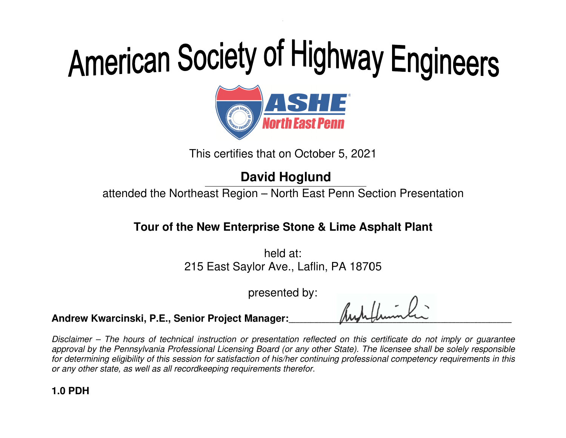

This certifies that on October 5 , 2021

### **David Hoglund**

attended the Northeast Region – North East Penn Section Presentation

#### **the Lime Asphalt Tour of New Enterprise the New**

Northeast Region – North East Penn Sect<br> **f the New Enterprise Stone & Lime Asp**<br>
held at:<br>
215 East Saylor Ave., Laflin, PA 18705 h held at: 215 East Saylor Ave., Laflin, PA 18705

presented by:

**Andrew Kwarcinski, P.E. P.E., Senior Project Manager Manager:**\_\_\_\_\_\_\_\_\_\_\_\_\_

 $\mu$ \_\_\_\_\_\_\_\_\_\_\_\_\_\_\_\_\_\_\_\_\_\_\_\_\_\_\_\_\_\_\_\_\_\_\_\_  $\mu$ 

Disclaimer – The hours of technical instruction or presentation reflected on this certificate do not imply or guarantee Disclaimer – The hours of technical instruction or presentation reflected on this certificate do not imply or guarantee<br>approval by the Pennsylvania Professional Licensing Board (or any other State). The licensee shall be for determining eligibility of this session for satisfaction of his/her continuing professional competency requirements in th for determining eligibility of this session for satisfaction of his/her coni<br>or any other state, as well as all recordkeeping requirements therefor. approval by the<br>for determining ‹<br>or any other stat **1.0 PDH**<br>
1.0 PDH<br>
1.0 PDH<br>
1.0 PDH<br>
1.0 PDH<br>
1.0 PDH<br>
1.0 PDH<br>
1.0 PDH<br>
1.0 PDH<br>
1.0 PDH<br>
1.0 PDH<br>
2.0 PDH<br>
2.0 PDH<br>
2.0 PDH<br>
2.0 PDH<br>
2.0 PDH<br>
2.0 PDH<br>
2.0 PDH<br>
2.0 PDH<br>
2.0 PDH<br>
2.0 PDH<br>
2.0 PDH<br>
2.0 PDH<br>
2.0 PDH<br>
2.0 **Example 10 By The Control Pennsylvania or Person Section Presentation**<br> **Tour of the New Enterprise Stone & Lime Asphalt Plant**<br>
held at:<br>
215 East Saylor Ave., Laflin, PA 18705<br>
presented by:<br>
<br> **Consisting P.E., Senior** This certifies that on October 5, 2021<br> **David Hoglund**<br>
attended the Northeast Region – North East Penn Section Presentation<br> **Tour of the New Enterprise Stone & Lime Asphalt Plant**<br>
held at:<br>
215 East Saylor Ave., Lafli of this session for satisfaction of his/her continuing professional competency requirements in th **Project Manager:**<br>struction or presentation reflected on this certificate do not imply or guarantee<br>nal Licensing Board (or any other State). The licensee shall be solely responsible<br>for satisfaction of his/her continuing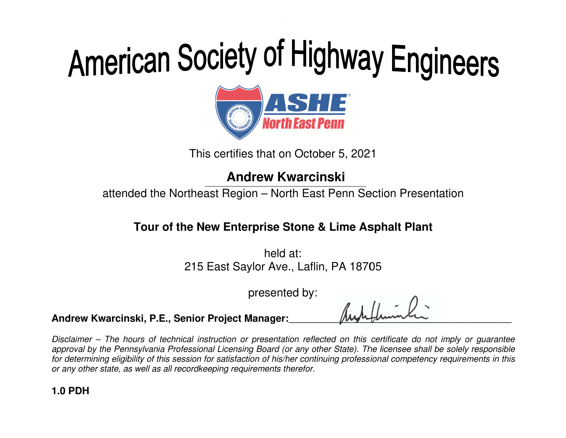

This certifies that on October 5 , 2021

attended the Northeast Region – North East Penn Section Presentation

### **the Lime Asphalt Tour of New Enterprise the New**

Northeast Region – North East Penn Sect<br> **f the New Enterprise Stone & Lime Asp**<br>
held at:<br>
215 East Saylor Ave., Laflin, PA 18705 h held at: 215 East Saylor Ave., Laflin, PA 18705

presented by:

**Andrew Kwarcinski, P.E. P.E., Senior Project Manager Manager:**\_\_\_\_\_\_\_\_\_\_\_\_\_

 $\mu$ \_\_\_\_\_\_\_\_\_\_\_\_\_\_\_\_\_\_\_\_\_\_\_\_\_\_\_\_\_\_\_\_\_\_\_\_  $\mu$ 

Disclaimer – The hours of technical instruction or presentation reflected on this certificate do not imply or guarantee Disclaimer – The hours of technical instruction or presentation reflected on this certificate do not imply or guarantee<br>approval by the Pennsylvania Professional Licensing Board (or any other State). The licensee shall be for determining eligibility of this session for satisfaction of his/her continuing professional competency requirements in th for determining eligibility of this session for satisfaction of his/her coni<br>or any other state, as well as all recordkeeping requirements therefor. approval by the<br>for determining ‹<br>or any other stat **1.0 PDH**<br>
1.0 PDH<br>
1.0 PDH<br>
1.0 PDH<br>
1.0 PDH<br>
1.0 PDH<br>
1.0 PDH<br>
1.0 PDH<br>
1.0 PDH<br>
1.0 PDH<br>
1.0 PDH<br>
2.0 PDH<br>
2.0 PDH<br>
2.0 PDH<br>
2.0 PDH<br>
2.0 PDH<br>
2.0 PDH<br>
2.0 PDH<br>
2.0 PDH<br>
2.0 PDH<br>
2.0 PDH<br>
2.0 PDH<br>
2.0 PDH<br>
2.0 PDH<br>
2.0 **Andrew Kwarcinski**<br>
tended the Northeast Region – North East Penn Section Presentation<br>
Tour of the New Enterprise Stone & Lime Asphalt Plant<br>
held at:<br>
215 East Saylor Ave., Laflin, PA 18705<br>
presented by:<br>
ccinski, P.E. This certifies that on October 5, 2021<br> **Andrew Kwarcinski**<br>
attended the Northeast Region – North East Penn Section Presentation<br> **Tour of the New Enterprise Stone & Lime Asphalt Plant**<br>  $\left\{ \begin{array}{l} \text{hold at:} \\ 215 \text{ East Saylor Ave., L$ of this session for satisfaction of his/her continuing professional competency requirements in th **Project Manager:**<br>struction or presentation reflected on this certificate do not imply or guarantee<br>nal Licensing Board (or any other State). The licensee shall be solely responsible<br>for satisfaction of his/her continuing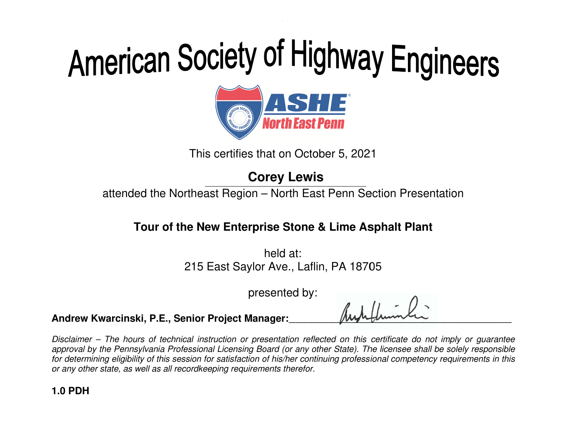

This certifies that on October 5 , 2021

attended the Northeast Region – North East Penn Section Presentation

#### **the Lime Asphalt Tour of New Enterprise the New**

Northeast Region – North East Penn Sect<br> **f the New Enterprise Stone & Lime Asp**<br>
held at:<br>
215 East Saylor Ave., Laflin, PA 18705 h held at: 215 East Saylor Ave., Laflin, PA 18705

presented by:

**Andrew Kwarcinski, P.E. P.E., Senior Project Manager Manager:**\_\_\_\_\_\_\_\_\_\_\_\_\_

 $\mu$ \_\_\_\_\_\_\_\_\_\_\_\_\_\_\_\_\_\_\_\_\_\_\_\_\_\_\_\_\_\_\_\_\_\_\_\_  $\mu$ 

Disclaimer – The hours of technical instruction or presentation reflected on this certificate do not imply or guarantee Disclaimer – The hours of technical instruction or presentation reflected on this certificate do not imply or guarantee<br>approval by the Pennsylvania Professional Licensing Board (or any other State). The licensee shall be for determining eligibility of this session for satisfaction of his/her continuing professional competency requirements in th for determining eligibility of this session for satisfaction of his/her coni<br>or any other state, as well as all recordkeeping requirements therefor. approval by the<br>for determining ‹<br>or any other stat **1.0 PDH**<br>
1.0 PDH<br>
1.0 PDH<br>
1.0 PDH<br>
1.0 PDH<br>
1.0 PDH<br>
1.0 PDH<br>
1.0 PDH<br>
1.0 PDH<br>
1.0 PDH<br>
1.0 PDH<br>
2.0 PDH<br>
2.0 PDH<br>
2.0 PDH<br>
2.0 PDH<br>
2.0 PDH<br>
2.0 PDH<br>
2.0 PDH<br>
2.0 PDH<br>
2.0 PDH<br>
2.0 PDH<br>
2.0 PDH<br>
2.0 PDH<br>
2.0 PDH<br>
2.0 **Corey Lewis**<br>
tended the Northeast Region – North East Penn Section Presentation<br>
Tour of the New Enterprise Stone & Lime Asphalt Plant<br>
held at:<br>
215 East Saylor Ave., Laflin, PA 18705<br>
presented by:<br>
ccinski, P.E., Seni This certifies that on October 5, 2021<br> **Corey Lewis**<br>
attended the Northeast Region – North East Penn Section Presentation<br> **Tour of the New Enterprise Stone & Lime Asphalt Plant**<br>
held at:<br>
215 East Saylor Ave., Laflin, of this session for satisfaction of his/her continuing professional competency requirements in th **Project Manager:**<br>struction or presentation reflected on this certificate do not imply or guarantee<br>nal Licensing Board (or any other State). The licensee shall be solely responsible<br>for satisfaction of his/her continuing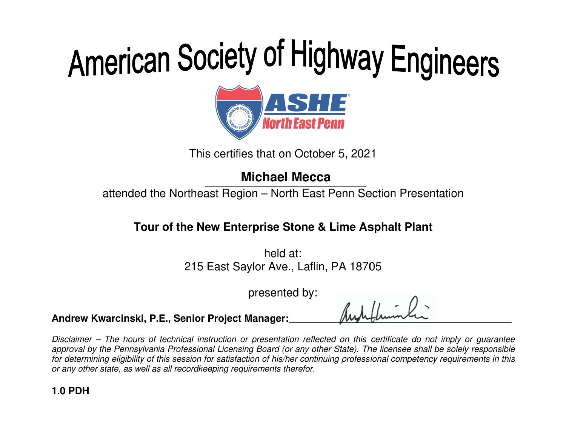# American Society of Highway Engineers<br> **ORIGE:**<br>
This certifies that on October 5, 2021<br>
Michael Mecca



This certifies that on October 5 , 2021

attended the Northeast Region – North East Penn Section Presentation

#### **the Lime Asphalt Tour of New Enterprise the New**

Northeast Region – North East Penn Sect<br> **f the New Enterprise Stone & Lime Asp**<br>
held at:<br>
215 East Saylor Ave., Laflin, PA 18705 h held at: 215 East Saylor Ave., Laflin, PA 18705

presented by:

**Andrew Kwarcinski, P.E. P.E., Senior Project Manager Manager:**\_\_\_\_\_\_\_\_\_\_\_\_\_

 $\mu$ \_\_\_\_\_\_\_\_\_\_\_\_\_\_\_\_\_\_\_\_\_\_\_\_\_\_\_\_\_\_\_\_\_\_\_\_  $\mu$ 

Disclaimer – The hours of technical instruction or presentation reflected on this certificate do not imply or guarantee Disclaimer – The hours of technical instruction or presentation reflected on this certificate do not imply or guarantee<br>approval by the Pennsylvania Professional Licensing Board (or any other State). The licensee shall be for determining eligibility of this session for satisfaction of his/her continuing professional competency requirements in th for determining eligibility of this session for satisfaction of his/her coni<br>or any other state, as well as all recordkeeping requirements therefor. approval by the<br>for determining ‹<br>or any other stat **1.0 PDH**<br>
1.0 PDH<br>
1.0 PDH<br>
1.0 PDH<br>
1.0 PDH<br>
1.0 PDH<br>
1.0 PDH<br>
1.0 PDH<br>
1.0 PDH<br>
1.0 PDH<br>
1.0 PDH<br>
2.0 PDH<br>
2.0 PDH<br>
2.0 PDH<br>
2.0 PDH<br>
2.0 PDH<br>
2.0 PDH<br>
2.0 PDH<br>
2.0 PDH<br>
2.0 PDH<br>
2.0 PDH<br>
2.0 PDH<br>
2.0 PDH<br>
2.0 PDH<br>
2.0 **Michael Mecca**<br>
tended the Northeast Region – North East Penn Section Presentation<br>
Tour of the New Enterprise Stone & Lime Asphalt Plant<br>
held at:<br>
215 East Saylor Ave., Laflin, PA 18705<br>
presented by:<br>
ccinski, P.E., Se This certifies that on October 5, 2021<br> **Michael Mecca**<br>
attended the Northeast Region – North East Penn Section Presentation<br> **Tour of the New Enterprise Stone & Lime Asphalt Plant**<br>  $\frac{1}{2}$  held at:<br>
215 East Saylor A of this session for satisfaction of his/her continuing professional competency requirements in th **Project Manager:**<br>struction or presentation reflected on this certificate do not imply or guarantee<br>nal Licensing Board (or any other State). The licensee shall be solely responsible<br>for satisfaction of his/her continuing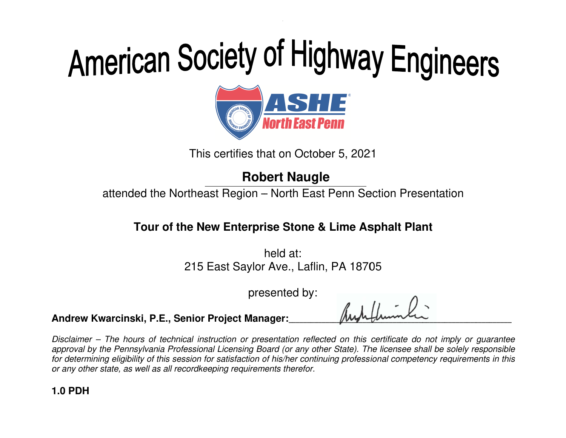

This certifies that on October 5 , 2021

### **Robert Naugle**

#### **the Lime Asphalt Tour of New Enterprise the New**

attended the Northeast Region – North East Penn Section Presentation<br> **Tour of the New Enterprise Stone & Lime Asphalt Plant**<br>
held at:<br>
215 East Saylor Ave., Laflin, PA 18705 h held at: 215 East Saylor Ave., Laflin, PA 18705

presented by:

**Andrew Kwarcinski, P.E. P.E., Senior Project Manager Manager:**\_\_\_\_\_\_\_\_\_\_\_\_\_

 $\mu$ \_\_\_\_\_\_\_\_\_\_\_\_\_\_\_\_\_\_\_\_\_\_\_\_\_\_\_\_\_\_\_\_\_\_\_\_  $\mu$ 

Disclaimer – The hours of technical instruction or presentation reflected on this certificate do not imply or guarantee Disclaimer – The hours of technical instruction or presentation reflected on this certificate do not imply or guarantee<br>approval by the Pennsylvania Professional Licensing Board (or any other State). The licensee shall be for determining eligibility of this session for satisfaction of his/her continuing professional competency requirements in th for determining eligibility of this session for satisfaction of his/her coni<br>or any other state, as well as all recordkeeping requirements therefor. approval by the<br>for determining ‹<br>or any other stat **1.0 PDH**<br>
1.0 PDH<br>
1.0 PDH<br>
1.0 PDH<br>
1.0 PDH<br>
1.0 PDH<br>
1.0 PDH<br>
1.0 PDH<br>
1.0 PDH<br>
1.0 PDH<br>
1.0 PDH<br>
2.0 PDH<br>
2.0 PDH<br>
2.0 PDH<br>
2.0 PDH<br>
2.0 PDH<br>
2.0 PDH<br>
2.0 PDH<br>
2.0 PDH<br>
2.0 PDH<br>
2.0 PDH<br>
2.0 PDH<br>
2.0 PDH<br>
2.0 PDH<br>
2.0 **Example 19 Exception Exception Presentation**<br> **Tour of the New Enterprise Stone & Lime Asphalt Plant**<br>
held at:<br>
215 East Saylor Ave., Laflin, PA 18705<br>
presented by:<br>
crinski, P.E., Senior Project Manager:<br> *Robert Manag* This certifies that on October 5, 2021<br> **Robert Naugle**<br>
attended the Northeast Region – North East Penn Section Presentation<br> **Tour of the New Enterprise Stone & Lime Asphalt Plant**<br>  $\frac{1}{2}$  held at:<br>
215 East Saylor A of this session for satisfaction of his/her continuing professional competency requirements in th **Project Manager:**<br>struction or presentation reflected on this certificate do not imply or guarantee<br>nal Licensing Board (or any other State). The licensee shall be solely responsible<br>for satisfaction of his/her continuing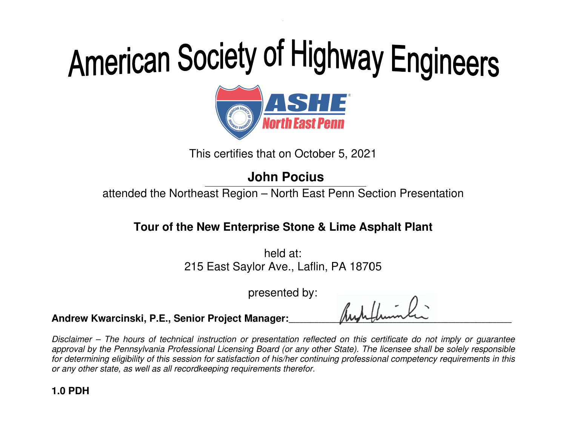

This certifies that on October 5 , 2021

### **John**

attended the Northeast Region – North East Penn Section Presentation

#### **the Lime Asphalt Tour of New Enterprise the New**

Northeast Region – North East Penn Sect<br> **f the New Enterprise Stone & Lime Asp**<br>
held at:<br>
215 East Saylor Ave., Laflin, PA 18705 h held at: 215 East Saylor Ave., Laflin, PA 18705

presented by:

**Andrew Kwarcinski, P.E. P.E., Senior Project Manager Manager:**\_\_\_\_\_\_\_\_\_\_\_\_\_

 $\mu$ \_\_\_\_\_\_\_\_\_\_\_\_\_\_\_\_\_\_\_\_\_\_\_\_\_\_\_\_\_\_\_\_\_\_\_\_  $\mu$ 

Disclaimer – The hours of technical instruction or presentation reflected on this certificate do not imply or guarantee Disclaimer – The hours of technical instruction or presentation reflected on this certificate do not imply or guarantee<br>approval by the Pennsylvania Professional Licensing Board (or any other State). The licensee shall be for determining eligibility of this session for satisfaction of his/her continuing professional competency requirements in th for determining eligibility of this session for satisfaction of his/her coni<br>or any other state, as well as all recordkeeping requirements therefor. approval by the<br>for determining ‹<br>or any other stat **1.0 PDH**<br>
1.0 PDH<br>
1.0 PDH<br>
1.0 PDH<br>
1.0 PDH<br>
1.0 PDH<br>
1.0 PDH<br>
1.0 PDH<br>
1.0 PDH<br>
1.0 PDH<br>
1.0 PDH<br>
2.0 PDH<br>
2.0 PDH<br>
2.0 PDH<br>
2.0 PDH<br>
2.0 PDH<br>
2.0 PDH<br>
2.0 PDH<br>
2.0 PDH<br>
2.0 PDH<br>
2.0 PDH<br>
2.0 PDH<br>
2.0 PDH<br>
2.0 PDH<br>
2.0 **10thn Pocius**<br>
tended the Northeast Region – North East Penn Section Presentation<br> **Tour of the New Enterprise Stone & Lime Asphalt Plant**<br>
held at:<br>
215 East Saylor Ave., Laflin, PA 18705<br>
presented by:<br>
ccinski, P.E., S This certifies that on October 5, 2021<br> **John Pocius**<br>
attended the Northeast Region – North East Penn Section Presentation<br> **Tour of the New Enterprise Stone & Lime Asphalt Plant**<br>
held at:<br>
215 East Saylor Ave., Laflin, of this session for satisfaction of his/her continuing professional competency requirements in th **Project Manager:**<br>struction or presentation reflected on this certificate do not imply or guarantee<br>nal Licensing Board (or any other State). The licensee shall be solely responsible<br>for satisfaction of his/her continuing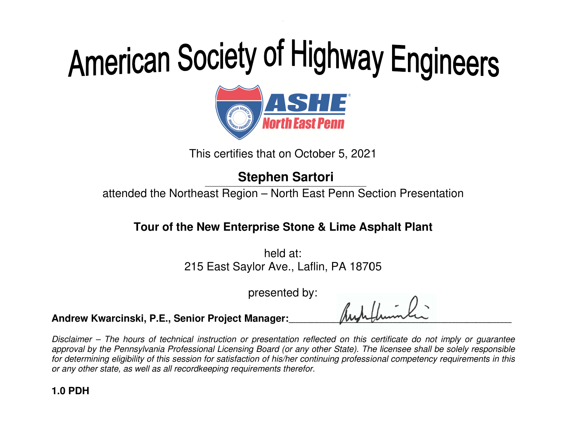# American Society of Highway Engineers<br> **ORIGITE:**<br>
This certifies that on October 5, 2021<br>
Stephen Sartori



This certifies that on October 5 , 2021

attended the Northeast Region – North East Penn Section Presentation

### **the Lime Asphalt Tour of New Enterprise the New**

Northeast Region – North East Penn Sect<br> **f the New Enterprise Stone & Lime Asp**<br>
held at:<br>
215 East Saylor Ave., Laflin, PA 18705 h held at: 215 East Saylor Ave., Laflin, PA 18705

presented by:

**Andrew Kwarcinski, P.E. P.E., Senior Project Manager Manager:**\_\_\_\_\_\_\_\_\_\_\_\_\_

 $\mu$ \_\_\_\_\_\_\_\_\_\_\_\_\_\_\_\_\_\_\_\_\_\_\_\_\_\_\_\_\_\_\_\_\_\_\_\_  $\mu$ 

Disclaimer – The hours of technical instruction or presentation reflected on this certificate do not imply or guarantee Disclaimer – The hours of technical instruction or presentation reflected on this certificate do not imply or guarantee<br>approval by the Pennsylvania Professional Licensing Board (or any other State). The licensee shall be for determining eligibility of this session for satisfaction of his/her continuing professional competency requirements in th for determining eligibility of this session for satisfaction of his/her coni<br>or any other state, as well as all recordkeeping requirements therefor. approval by the<br>for determining ‹<br>or any other stat **1.0 PDH**<br>
1.0 PDH<br>
1.0 PDH<br>
1.0 PDH<br>
1.0 PDH<br>
1.0 PDH<br>
1.0 PDH<br>
1.0 PDH<br>
1.0 PDH<br>
1.0 PDH<br>
1.0 PDH<br>
2.0 PDH<br>
2.0 PDH<br>
2.0 PDH<br>
2.0 PDH<br>
2.0 PDH<br>
2.0 PDH<br>
2.0 PDH<br>
2.0 PDH<br>
2.0 PDH<br>
2.0 PDH<br>
2.0 PDH<br>
2.0 PDH<br>
2.0 PDH<br>
2.0 **Stephen Sartori**<br>
tended the Northeast Region – North East Penn Section Presentation<br> **Tour of the New Enterprise Stone & Lime Asphalt Plant**<br>
held at:<br>
215 East Saylor Ave., Laflin, PA 18705<br>
presented by:<br>
ccinski, P.E. This certifies that on October 5, 2021<br> **Stephen Sartori**<br>
attended the Northeast Region – North East Penn Section Presentation<br> **Tour of the New Enterprise Stone & Lime Asphalt Plant**<br>  $\frac{1}{2}$  held at:<br>
215 East Saylor of this session for satisfaction of his/her continuing professional competency requirements in th **Project Manager:**<br>struction or presentation reflected on this certificate do not imply or guarantee<br>nal Licensing Board (or any other State). The licensee shall be solely responsible<br>for satisfaction of his/her continuing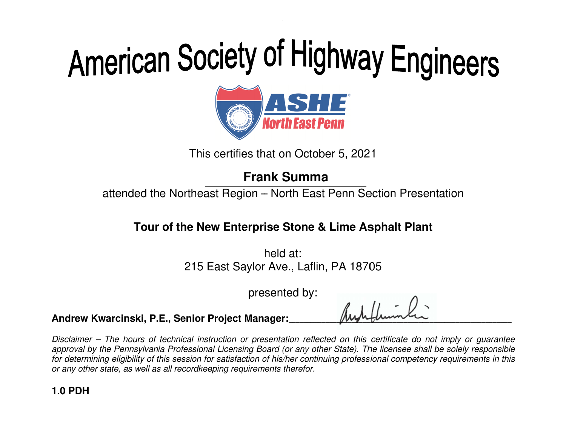

This certifies that on October 5 , 2021

### **Frank Summa**

attended the Northeast Region – North East Penn Section Presentation

#### **the Lime Asphalt Tour of New Enterprise the New**

Northeast Region – North East Penn Sect<br> **f the New Enterprise Stone & Lime Asp**<br>
held at:<br>
215 East Saylor Ave., Laflin, PA 18705 h held at: 215 East Saylor Ave., Laflin, PA 18705

presented by:

**Andrew Kwarcinski, P.E. P.E., Senior Project Manager Manager:**\_\_\_\_\_\_\_\_\_\_\_\_\_

 $\mu$ \_\_\_\_\_\_\_\_\_\_\_\_\_\_\_\_\_\_\_\_\_\_\_\_\_\_\_\_\_\_\_\_\_\_\_\_  $\mu$ 

Disclaimer – The hours of technical instruction or presentation reflected on this certificate do not imply or guarantee Disclaimer – The hours of technical instruction or presentation reflected on this certificate do not imply or guarantee<br>approval by the Pennsylvania Professional Licensing Board (or any other State). The licensee shall be for determining eligibility of this session for satisfaction of his/her continuing professional competency requirements in th for determining eligibility of this session for satisfaction of his/her coni<br>or any other state, as well as all recordkeeping requirements therefor. approval by the<br>for determining ‹<br>or any other stat **1.0 PDH**<br>
1.0 PDH<br>
1.0 PDH<br>
1.0 PDH<br>
1.0 PDH<br>
1.0 PDH<br>
1.0 PDH<br>
1.0 PDH<br>
1.0 PDH<br>
1.0 PDH<br>
1.0 PDH<br>
2.0 PDH<br>
2.0 PDH<br>
2.0 PDH<br>
2.0 PDH<br>
2.0 PDH<br>
2.0 PDH<br>
2.0 PDH<br>
2.0 PDH<br>
2.0 PDH<br>
2.0 PDH<br>
2.0 PDH<br>
2.0 PDH<br>
2.0 PDH<br>
2.0 **Example 19 Example 19 Example 19 Example 19 Example 19 Example 19 Example 19 Example 19 Example 19 Example 19 Example 19 Example 19 Example 19 Example 19 Example 19 Example 19 Example 19 Example 19 Example 19 Example 19 E** This certifies that on October 5, 2021<br> **Frank Summa**<br>
attended the Northeast Region – North East Penn Section Presentation<br> **Tour of the New Enterprise Stone & Lime Asphalt Plant**<br>  $\frac{1}{2}$  held at:<br>
215 East Saylor Ave of this session for satisfaction of his/her continuing professional competency requirements in th **Project Manager:**<br>struction or presentation reflected on this certificate do not imply or guarantee<br>nal Licensing Board (or any other State). The licensee shall be solely responsible<br>for satisfaction of his/her continuing